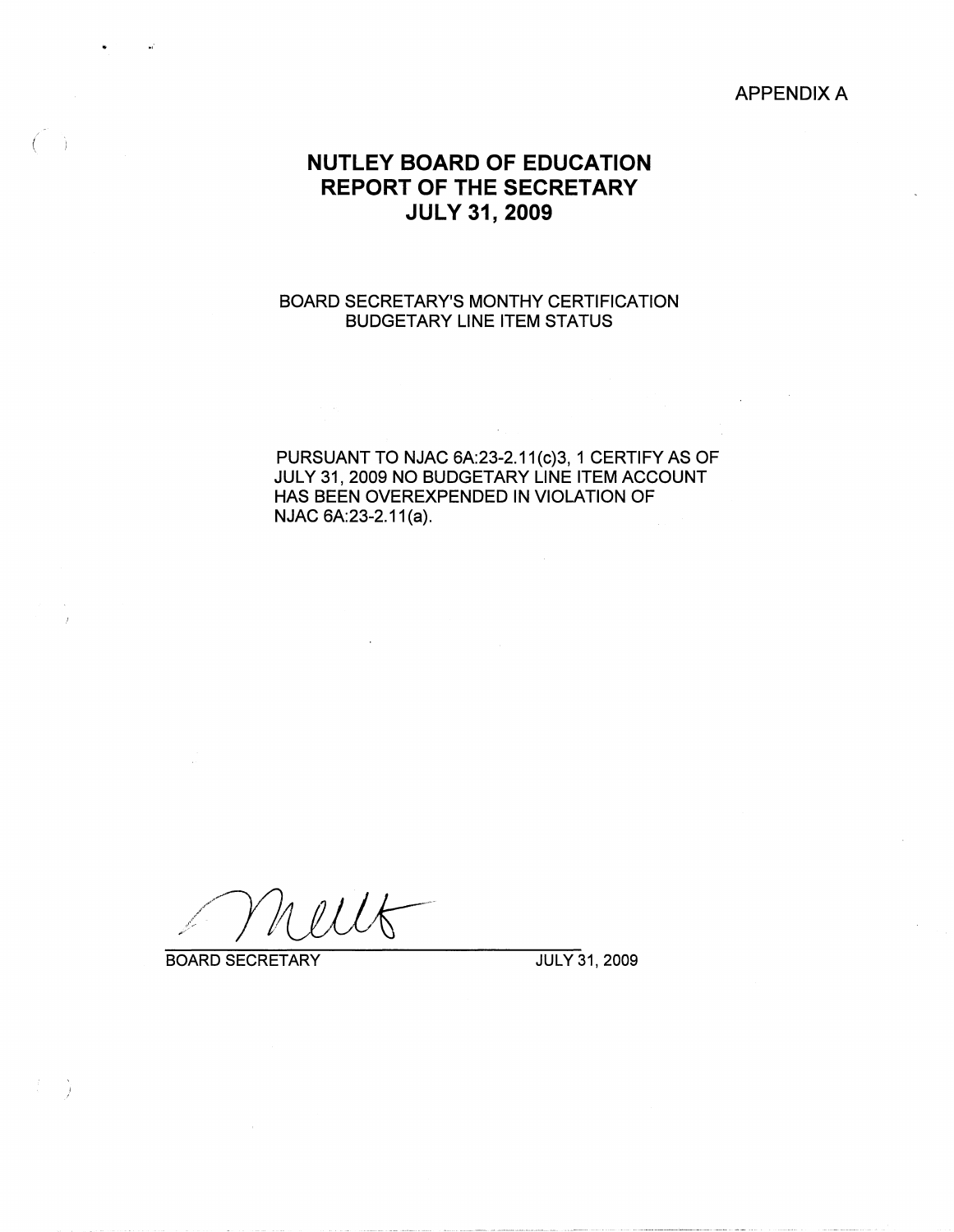### APPENDIX A

# **NUTLEY BOARD OF EDUCATION REPORT OF THE SECRETARY JULY 31, 2009**

### BOARD SECRETARY'S MONTHY CERTIFICATION BUDGETARY LINE ITEM STATUS

PURSUANT TO NJAC 6A:23-2.11(c)3, 1 CERTIFY AS OF JULY 31, 2009 NO BUDGETARY LINE ITEM ACCOUNT HAS BEEN OVEREXPENDED IN VIOLATION OF NJAC 6A:23-2.11(a).

BOARD SECRETARY JULY 31, 2009

 $\left(\right|$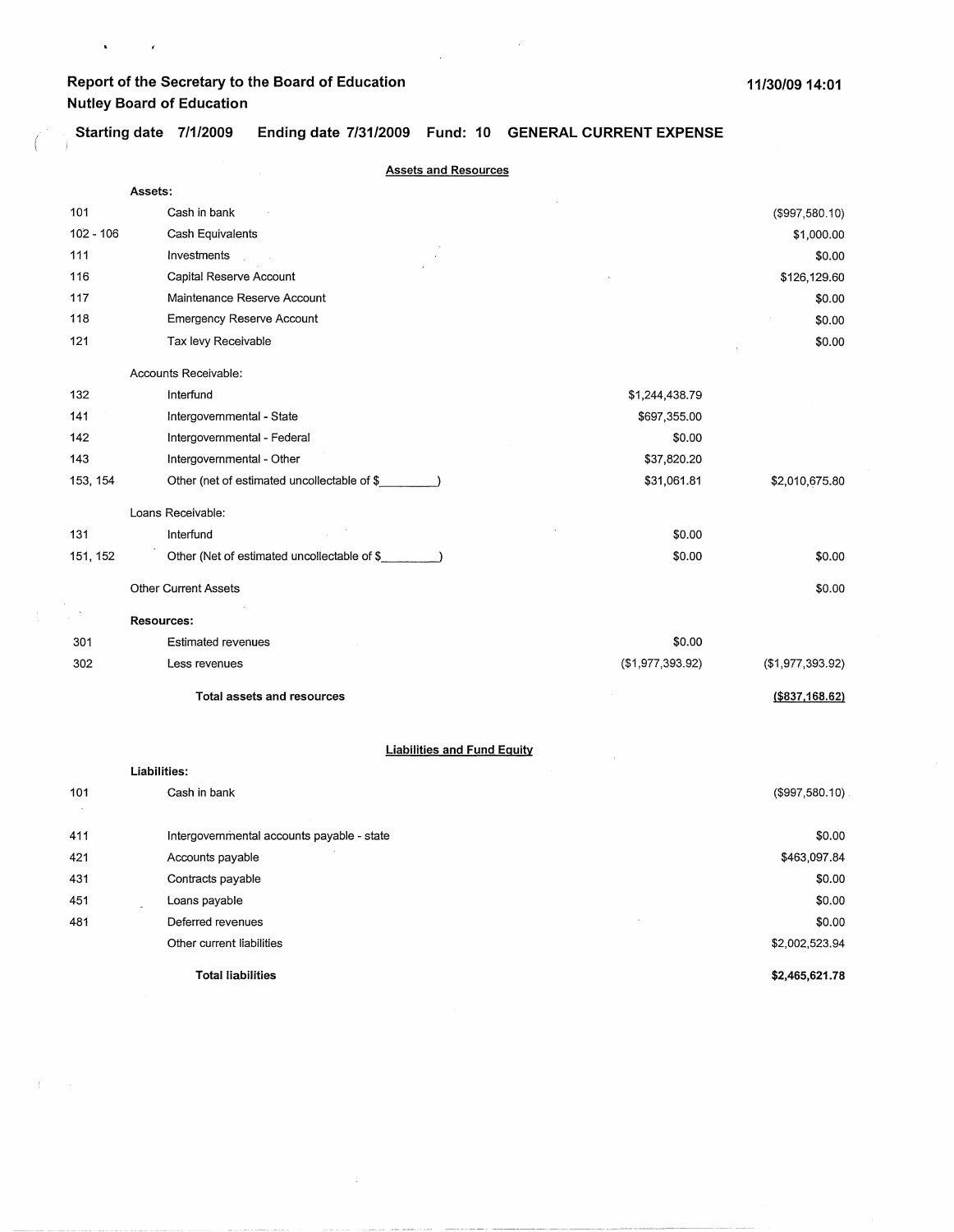$\mathbf{v} = \mathbf{v} \times \mathbf{z}$ 

 $\left($ 

 $\mathcal{L}(\mathcal{L})=\mathcal{L}(\mathcal{L})$ 

**Starting date 7/1/2009 Ending date 7/31/2009 Fund: 10 GENERAL CURRENT EXPENSE**   $\frac{1}{2}$ 

|             | <b>Assets and Resources</b>                 |                  |                  |
|-------------|---------------------------------------------|------------------|------------------|
|             | Assets:                                     |                  |                  |
| 101         | Cash in bank                                |                  | (\$997,580.10)   |
| $102 - 106$ | Cash Equivalents                            |                  | \$1,000.00       |
| 111         | Investments                                 |                  | \$0.00           |
| 116         | Capital Reserve Account                     |                  | \$126,129.60     |
| 117         | Maintenance Reserve Account                 |                  | \$0.00           |
| 118         | <b>Emergency Reserve Account</b>            |                  | \$0.00           |
| 121         | Tax levy Receivable                         |                  | \$0.00           |
|             | Accounts Receivable:                        |                  |                  |
| 132         | Interfund                                   | \$1,244,438.79   |                  |
| 141         | Intergovernmental - State                   | \$697,355.00     |                  |
| 142         | Intergovernmental - Federal                 | \$0.00           |                  |
| 143         | Intergovernmental - Other                   | \$37,820.20      |                  |
| 153, 154    | Other (net of estimated uncollectable of \$ | \$31,061.81      | \$2,010,675.80   |
|             | Loans Receivable:                           |                  |                  |
| 131         | Interfund                                   | \$0.00           |                  |
| 151, 152    | Other (Net of estimated uncollectable of \$ | \$0.00           | \$0.00           |
|             | <b>Other Current Assets</b>                 |                  | \$0.00           |
|             | <b>Resources:</b>                           |                  |                  |
| 301         | <b>Estimated revenues</b>                   | \$0.00           |                  |
| 302         | Less revenues                               | (\$1,977,393.92) | (\$1,977,393.92) |
|             | <b>Total assets and resources</b>           |                  | ( \$837, 168.62) |
|             | <b>Liabilities and Fund Equity</b>          |                  |                  |
|             | Liabilities:                                |                  |                  |
| 101         | Cash in bank                                |                  | (\$997,580.10)   |
| 411         | Intergovernmental accounts payable - state  |                  | \$0.00           |
| 421         | Accounts payable                            |                  | \$463,097.84     |
| 431         | Contracts payable                           |                  | \$0.00           |
| 451         | Loans payable                               |                  | \$0.00           |
| 481         | Deferred revenues                           |                  | \$0.00           |
|             | Other current liabilities                   |                  | \$2,002,523.94   |
|             | <b>Total liabilities</b>                    |                  | \$2,465,621.78   |

 $\sim$ 

 $\Delta \sim 10$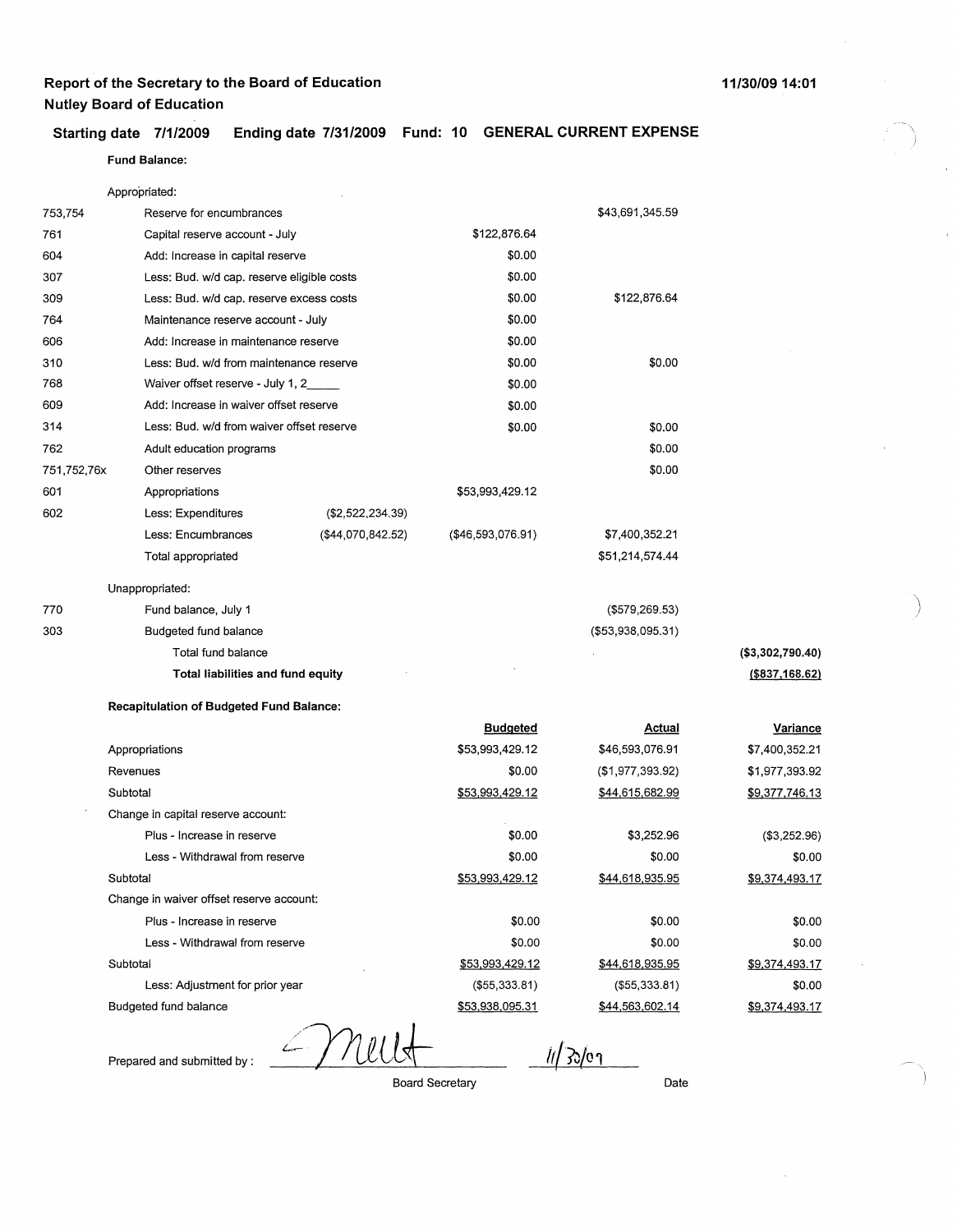### 11/30/0914:01

 $\overline{\phantom{a}}$ )

)

-~' )

# Starting date 7/1/2009 **Ending date 7/31/2009 Fund: 10 GENERAL CURRENT EXPENSE**

**Fund Balance:** 

|             | Appropriated:                                   |                   |                   |                        |                       |
|-------------|-------------------------------------------------|-------------------|-------------------|------------------------|-----------------------|
| 753,754     | Reserve for encumbrances                        |                   |                   | \$43,691,345.59        |                       |
| 761         | Capital reserve account - July                  |                   | \$122,876.64      |                        |                       |
| 604         | Add: Increase in capital reserve                |                   | \$0.00            |                        |                       |
| 307         | Less: Bud. w/d cap. reserve eligible costs      |                   | \$0.00            |                        |                       |
| 309         | Less: Bud. w/d cap. reserve excess costs        |                   | \$0.00            | \$122,876.64           |                       |
| 764         | Maintenance reserve account - July              |                   | \$0.00            |                        |                       |
| 606         | Add: Increase in maintenance reserve            |                   | \$0.00            |                        |                       |
| 310         | Less: Bud. w/d from maintenance reserve         |                   | \$0.00            | \$0.00                 |                       |
| 768         | Waiver offset reserve - July 1, 2_              |                   | \$0.00            |                        |                       |
| 609         | Add: Increase in waiver offset reserve          |                   | \$0.00            |                        |                       |
| 314         | Less: Bud. w/d from waiver offset reserve       |                   | \$0.00            | \$0.00                 |                       |
| 762         | Adult education programs                        |                   |                   | \$0.00                 |                       |
| 751,752,76x | Other reserves                                  |                   |                   | \$0.00                 |                       |
| 601         | Appropriations                                  |                   | \$53,993,429.12   |                        |                       |
| 602         | Less: Expenditures                              | (\$2,522,234.39)  |                   |                        |                       |
|             | Less: Encumbrances                              | (\$44,070,842.52) | (\$46,593,076.91) | \$7,400,352.21         |                       |
|             | Total appropriated                              |                   |                   | \$51,214,574.44        |                       |
|             | Unappropriated:                                 |                   |                   |                        |                       |
| 770         | Fund balance, July 1                            |                   |                   | (\$579,269.53)         |                       |
| 303         | Budgeted fund balance                           |                   |                   | (\$53,938,095.31)      |                       |
|             | Total fund balance                              |                   |                   |                        | (\$3,302,790.40)      |
|             | Total liabilities and fund equity               |                   |                   |                        | ( \$837, 168.62)      |
|             | <b>Recapitulation of Budgeted Fund Balance:</b> |                   |                   |                        |                       |
|             |                                                 |                   | <b>Budgeted</b>   | Actual                 | <b>Variance</b>       |
|             | Appropriations                                  |                   | \$53,993,429.12   | \$46,593,076.91        | \$7,400,352.21        |
|             | Revenues                                        |                   | \$0.00            | (\$1,977,393.92)       | \$1,977,393.92        |
|             | Subtotal                                        |                   | \$53,993,429.12   | <u>\$44,615,682.99</u> | <u>\$9,377,746.13</u> |
|             | Change in capital reserve account:              |                   |                   |                        |                       |
|             | Plus - Increase in reserve                      |                   | \$0.00            | \$3,252.96             | (\$3,252.96)          |
|             | Less - Withdrawal from reserve                  |                   | \$0.00            | \$0.00                 | \$0.00                |
|             | Subtotal                                        |                   | \$53,993,429.12   | \$44,618,935.95        | \$9,374,493.17        |
|             | Change in waiver offset reserve account:        |                   |                   |                        |                       |
|             | Plus - Increase in reserve                      |                   | \$0.00            | \$0.00                 | \$0.00                |
|             | Less - Withdrawal from reserve                  |                   | \$0.00            | \$0.00                 | \$0.00                |
|             | Subtotal                                        |                   | \$53,993,429.12   | \$44,618,935.95        | \$9,374,493.17        |
|             | Less: Adjustment for prior year                 |                   | (\$55,333.81)     | ( \$55, 333.81)        | \$0.00                |
|             | Budgeted fund balance                           |                   | \$53,938,095.31   | \$44,563,602.14        | \$9,374,493.17        |
|             |                                                 |                   |                   |                        |                       |

Prepared and submitted by :

Mellt Board Secretary

Date

*lt*[30/01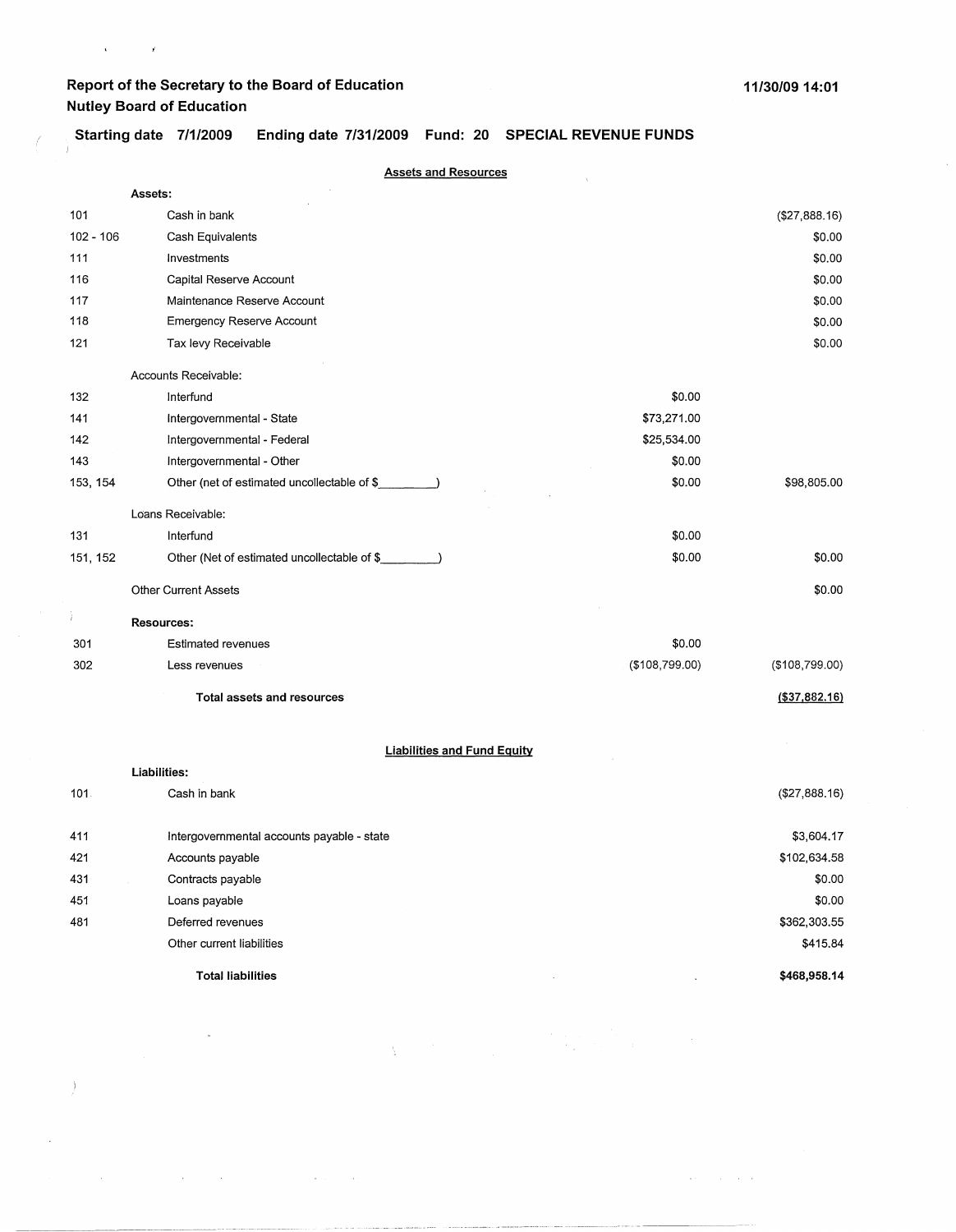$\bar{z}$ 

 $\mathcal{A}^{\mathcal{A}}$  and  $\mathcal{A}^{\mathcal{A}}$  are the set of the set of the set of the set of the  $\mathcal{A}^{\mathcal{A}}$ 

 $\Big)$ 

 $\mathcal{L}^{\pm}$ 

ì

Ý

 $\label{eq:1} \mathbf{A}^{(i)} = \mathbf{A}^{(i)} \mathbf{A}^{(i)}$ 

**Starting date 7/1/2009 Ending date 7/31/2009 Fund: 20 SPECIAL REVENUE FUNDS** 

|             | <b>Assets and Resources</b>                 |                  |                 |
|-------------|---------------------------------------------|------------------|-----------------|
|             | Assets:                                     |                  |                 |
| 101         | Cash in bank                                |                  | (\$27,888.16)   |
| $102 - 106$ | Cash Equivalents                            |                  | \$0.00          |
| 111         | Investments                                 |                  | \$0.00          |
| 116         | Capital Reserve Account                     |                  | \$0.00          |
| 117         | Maintenance Reserve Account                 |                  | \$0.00          |
| 118         | <b>Emergency Reserve Account</b>            |                  | \$0.00          |
| 121         | Tax levy Receivable                         |                  | \$0.00          |
|             | Accounts Receivable:                        |                  |                 |
| 132         | Interfund                                   | \$0.00           |                 |
| 141         | Intergovernmental - State                   | \$73,271.00      |                 |
| 142         | Intergovernmental - Federal                 | \$25,534.00      |                 |
| 143         | Intergovernmental - Other                   | \$0.00           |                 |
| 153, 154    | Other (net of estimated uncollectable of \$ | \$0.00           | \$98,805.00     |
|             | Loans Receivable:                           |                  |                 |
| 131         | Interfund                                   | \$0.00           |                 |
| 151, 152    | Other (Net of estimated uncollectable of \$ | \$0.00           | \$0.00          |
|             | <b>Other Current Assets</b>                 |                  | \$0.00          |
| Ì.          | <b>Resources:</b>                           |                  |                 |
| 301         | <b>Estimated revenues</b>                   | \$0.00           |                 |
| 302         | Less revenues                               | ( \$108, 799.00) | (\$108,799.00)  |
|             | <b>Total assets and resources</b>           |                  | ( \$37, 882.16) |
|             | <b>Liabilities and Fund Equity</b>          |                  |                 |
|             | Liabilities:                                |                  |                 |
| 101.        | Cash in bank                                |                  | (\$27,888.16)   |
| 411         | Intergovernmental accounts payable - state  |                  | \$3,604.17      |
| 421         | Accounts payable                            |                  | \$102,634.58    |
| 431         | Contracts payable                           |                  | \$0.00          |
| 451         | Loans payable                               |                  | \$0.00          |
| 481         | Deferred revenues                           |                  | \$362,303.55    |
|             | Other current liabilities                   |                  | \$415.84        |
|             | <b>Total liabilities</b>                    |                  | \$468,958.14    |

 $\label{eq:1.1} \sum_{\substack{a,b,c,d \in \mathbb{N}^* \\ \text{if } a,b,c,d \in \mathbb{N}^*}} \mathbb{E}\left[\left\|\left\|a\right\|_{\mathcal{H}^s}\right\|_{\mathcal{H}^s} \right] \leq \left\|\left\|a\right\|_{\mathcal{H}^s} \right\|_{\mathcal{H}^s} \leq \left\|\left\|a\right\|_{\mathcal{H}^s} \right\|_{\mathcal{H}^s} \leq \left\|\left\|a\right\|_{\mathcal{H}^s} \right\|_{\mathcal{H}^s} \leq \left\|\$ 

 $\mathcal{A}(\mathbf{r})$  and  $\mathcal{A}(\mathbf{r})$  and  $\mathcal{A}(\mathbf{r})$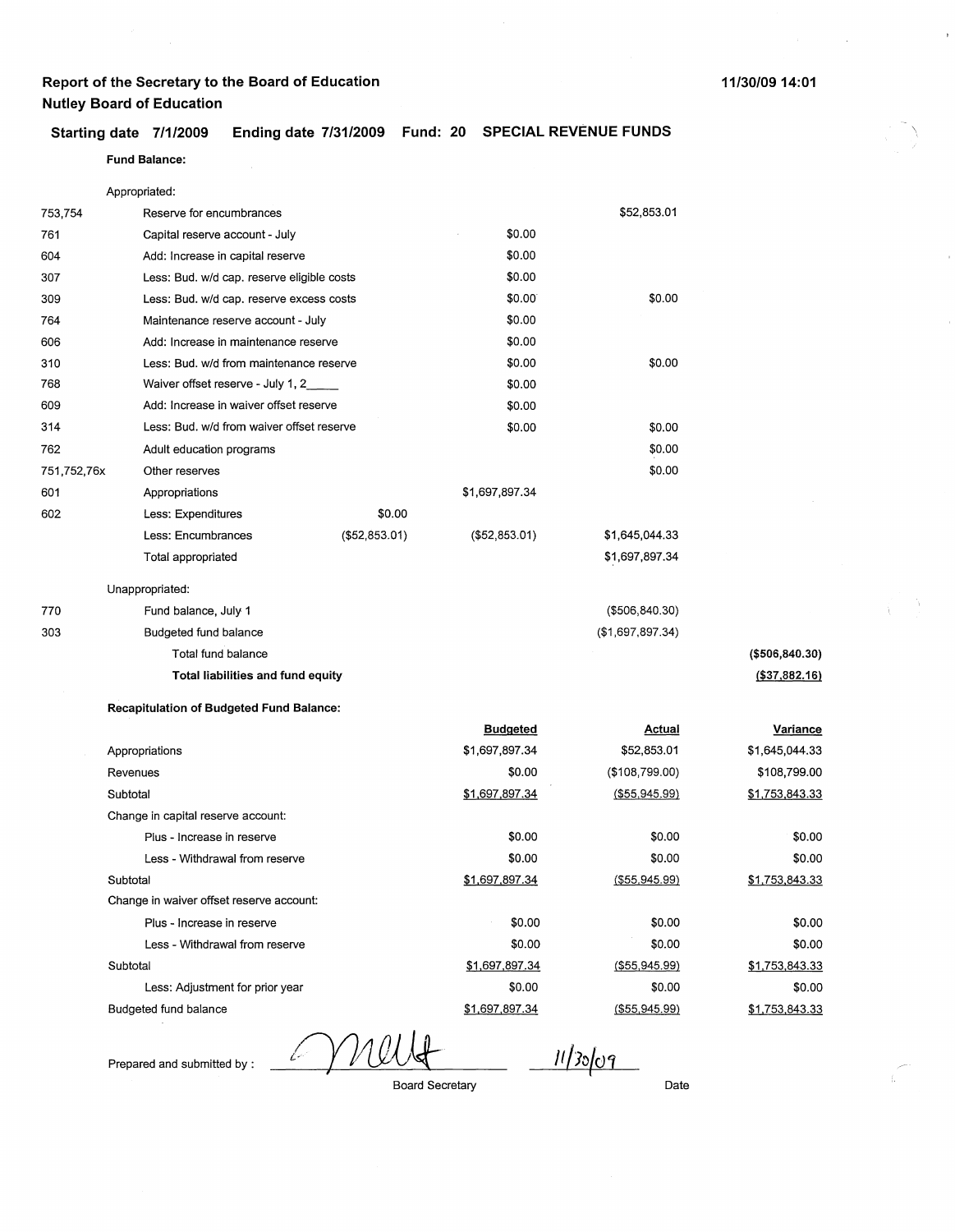### **Starting date 7/1/2009 Ending date 7/31/2009 Fund: 20 SPECIAL REVENUE FUNDS**

### **Fund Balance:**

Appropriated:

| 753,754     | Reserve for encumbrances                        |                 |                | \$52,853.01      |                 |
|-------------|-------------------------------------------------|-----------------|----------------|------------------|-----------------|
| 761         | Capital reserve account - July                  |                 | \$0.00         |                  |                 |
| 604         | Add: Increase in capital reserve                |                 | \$0.00         |                  |                 |
| 307         | Less: Bud. w/d cap. reserve eligible costs      |                 | \$0.00         |                  |                 |
| 309         | Less: Bud. w/d cap. reserve excess costs        |                 | \$0.00         | \$0.00           |                 |
| 764         | Maintenance reserve account - July              |                 | \$0.00         |                  |                 |
| 606         | Add: Increase in maintenance reserve            |                 | \$0.00         |                  |                 |
| 310         | Less: Bud, w/d from maintenance reserve         |                 | \$0.00         | \$0.00           |                 |
| 768         | Waiver offset reserve - July 1, 2____           |                 | \$0.00         |                  |                 |
| 609         | Add: Increase in waiver offset reserve          |                 | \$0.00         |                  |                 |
| 314         | Less: Bud. w/d from waiver offset reserve       |                 | \$0.00         | \$0.00           |                 |
| 762         | Adult education programs                        |                 |                | \$0.00           |                 |
| 751,752,76x | Other reserves                                  |                 |                | \$0.00           |                 |
| 601         | Appropriations                                  |                 | \$1,697,897.34 |                  |                 |
| 602         | Less: Expenditures                              | \$0.00          |                |                  |                 |
|             | Less: Encumbrances                              | ( \$52, 853.01) | (\$52,853.01)  | \$1,645,044.33   |                 |
|             | Total appropriated                              |                 |                | \$1,697,897.34   |                 |
|             | Unappropriated:                                 |                 |                |                  |                 |
| 770         | Fund balance, July 1                            |                 |                | ( \$506, 840.30) |                 |
| 303         | Budgeted fund balance                           |                 |                | (\$1,697,897.34) |                 |
|             | Total fund balance                              |                 |                |                  | (\$506, 840.30) |
|             | Total liabilities and fund equity               |                 |                |                  | (\$37,882.16)   |
|             | <b>Recapitulation of Budgeted Fund Balance:</b> |                 |                |                  |                 |
|             |                                                 |                 |                |                  |                 |

|                                          | <b>Budgeted</b> | Actual              | Variance       |
|------------------------------------------|-----------------|---------------------|----------------|
| Appropriations                           | \$1,697,897.34  | \$52,853.01         | \$1,645,044.33 |
| Revenues                                 | \$0.00          | (\$108,799.00)      | \$108,799.00   |
| Subtotal                                 | \$1,697,897.34  | $($ \$55,945.99 $)$ | \$1,753,843.33 |
| Change in capital reserve account:       |                 |                     |                |
| Plus - Increase in reserve               | \$0.00          | \$0.00              | \$0.00         |
| Less - Withdrawal from reserve           | \$0.00          | \$0.00              | \$0.00         |
| Subtotal                                 | \$1,697,897.34  | $($ \$55,945.99)    | \$1,753,843.33 |
| Change in waiver offset reserve account: |                 |                     |                |
| Plus - Increase in reserve               | \$0.00          | \$0.00              | \$0.00         |
| Less - Withdrawal from reserve           | \$0.00          | \$0.00              | \$0.00         |
| Subtotal                                 | \$1,697,897.34  | (\$55,945.99)       | \$1,753,843.33 |
| Less: Adjustment for prior year          | \$0.00          | \$0.00              | \$0.00         |
| Budgeted fund balance                    | \$1,697,897.34  | (S55, 945, 99)      | \$1,753,843.33 |
|                                          |                 |                     |                |

Prepared and submitted by :

YVU V,

 $11/30/09$ 

Board Secretary

Date

 $\big)$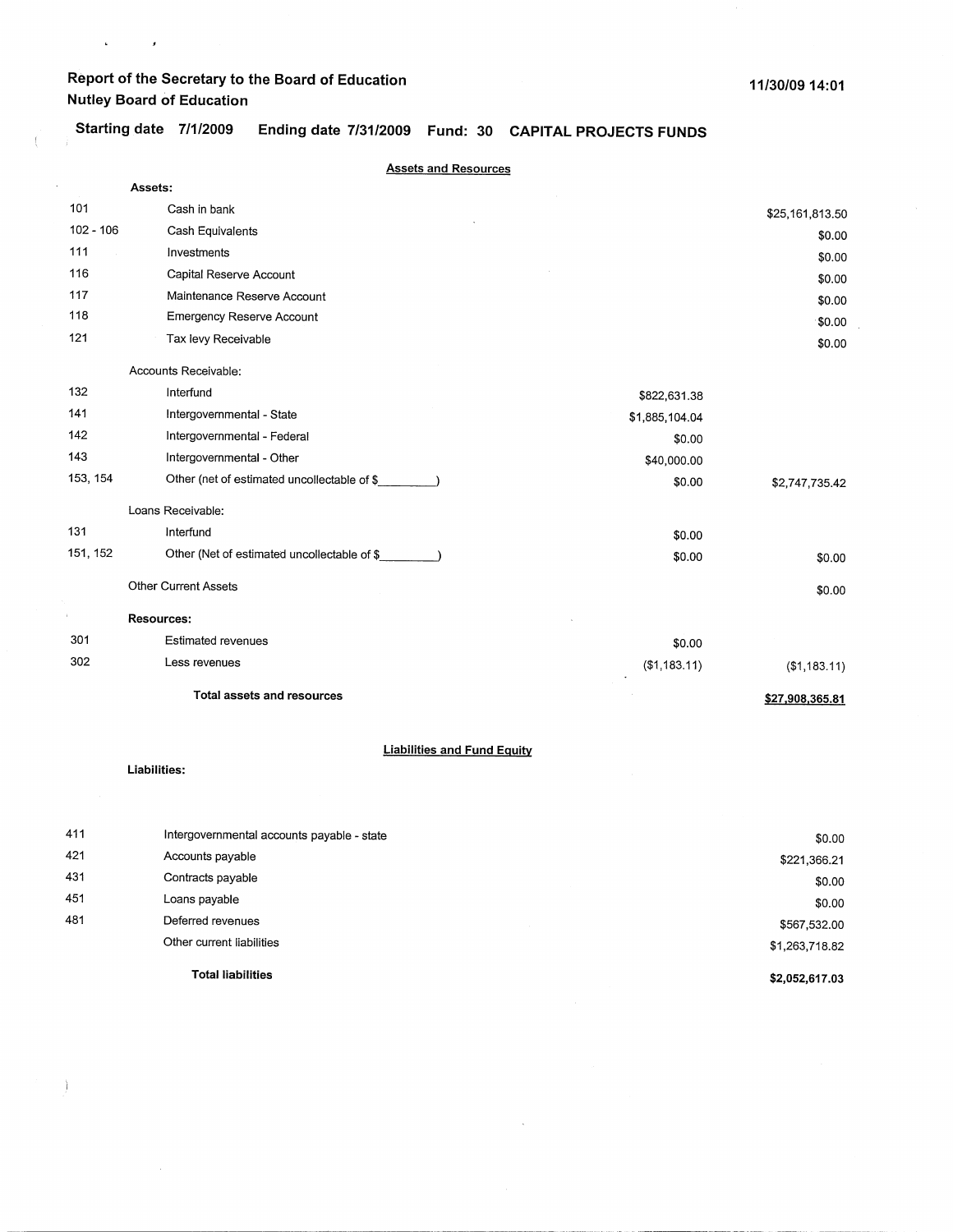$\mathcal{L}^{\text{max}}_{\text{max}}$ 

X.

 $\bar{z}$ 

Starting date 7/1/2009 Ending date 7/31/2009 Fund: 30 CAPITAL PROJECTS FUNDS

|             | <b>Assets and Resources</b>                 |                |                 |
|-------------|---------------------------------------------|----------------|-----------------|
|             | Assets:                                     |                |                 |
| 101         | Cash in bank                                |                | \$25,161,813.50 |
| $102 - 106$ | Cash Equivalents                            |                | \$0.00          |
| 111         | Investments                                 |                | \$0.00          |
| 116         | Capital Reserve Account                     |                | \$0.00          |
| 117         | Maintenance Reserve Account                 |                | \$0.00          |
| 118         | <b>Emergency Reserve Account</b>            |                | \$0.00          |
| 121         | Tax levy Receivable                         |                | \$0.00          |
|             | Accounts Receivable:                        |                |                 |
| 132         | Interfund                                   | \$822,631.38   |                 |
| 141         | Intergovernmental - State                   | \$1,885,104.04 |                 |
| 142         | Intergovernmental - Federal                 | \$0.00         |                 |
| 143         | Intergovernmental - Other                   | \$40,000.00    |                 |
| 153, 154    | Other (net of estimated uncollectable of \$ | \$0.00         | \$2,747,735.42  |
|             | Loans Receivable:                           |                |                 |
| 131         | Interfund                                   | \$0.00         |                 |
| 151, 152    | Other (Net of estimated uncollectable of \$ | \$0.00         | \$0.00          |
|             | <b>Other Current Assets</b>                 |                | \$0.00          |
|             | <b>Resources:</b>                           |                |                 |
| 301         | <b>Estimated revenues</b>                   | \$0.00         |                 |
| 302         | Less revenues                               | (\$1,183.11)   | (\$1,183.11)    |
|             | <b>Total assets and resources</b>           |                | \$27,908,365.81 |

### **Liabilities and Fund Equity**

**Liabilities:** 

 $\big)$ 

| 411 | Intergovernmental accounts payable - state | \$0.00         |
|-----|--------------------------------------------|----------------|
| 421 | Accounts payable                           | \$221,366.21   |
| 431 | Contracts payable                          | \$0.00         |
| 451 | Loans payable                              | \$0.00         |
| 481 | Deferred revenues                          | \$567,532.00   |
|     | Other current liabilities                  | \$1,263,718.82 |
|     | <b>Total liabilities</b>                   | \$2,052,617.03 |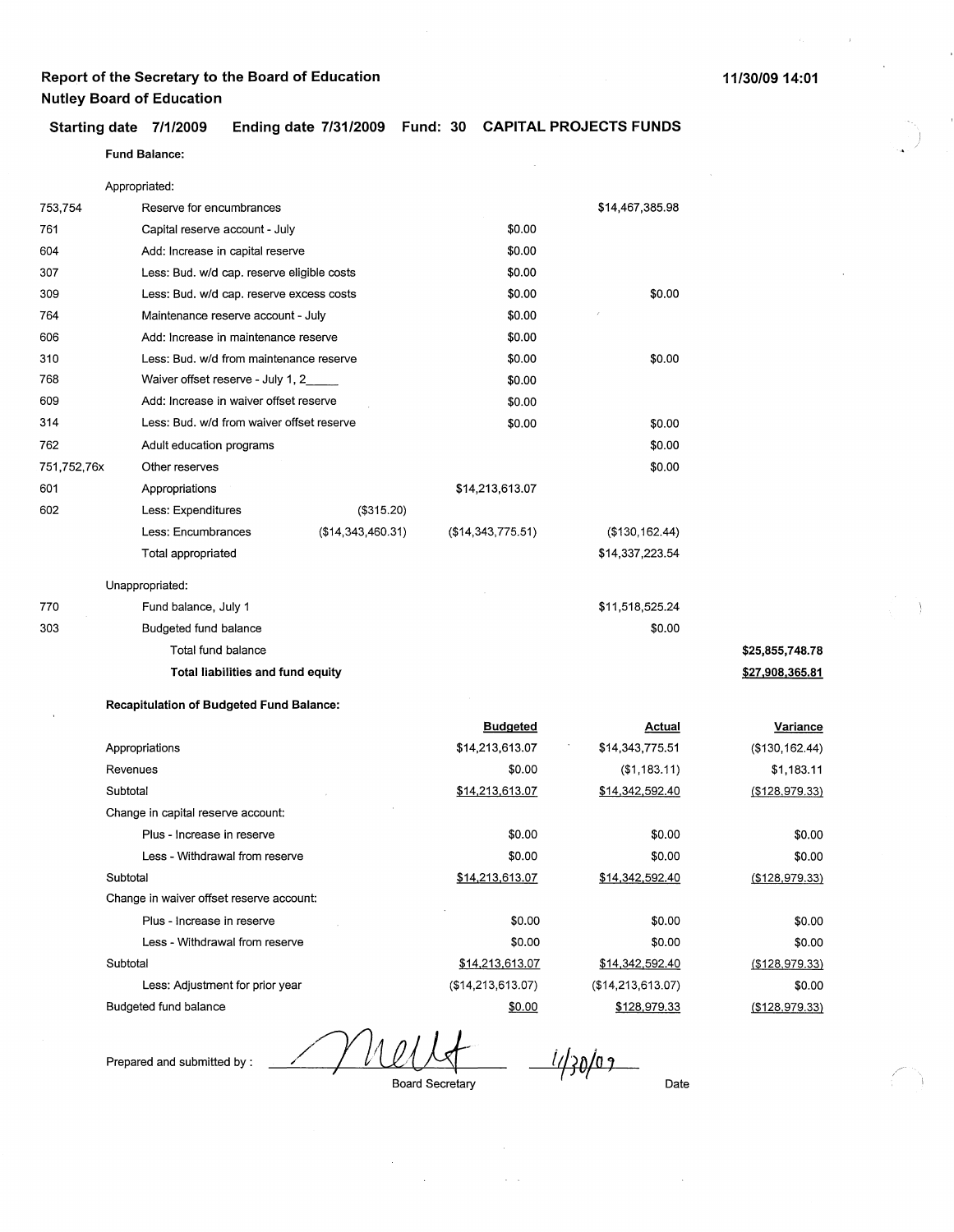)

Fund **Balance:** 

|             | Appropriated:                                   |                   |                   |                     |                   |
|-------------|-------------------------------------------------|-------------------|-------------------|---------------------|-------------------|
| 753,754     | Reserve for encumbrances                        |                   |                   | \$14,467,385.98     |                   |
| 761         | Capital reserve account - July                  |                   | \$0.00            |                     |                   |
| 604         | Add: Increase in capital reserve                |                   | \$0.00            |                     |                   |
| 307         | Less: Bud. w/d cap. reserve eligible costs      |                   | \$0.00            |                     |                   |
| 309         | Less: Bud. w/d cap. reserve excess costs        |                   | \$0.00            | \$0.00              |                   |
| 764         | Maintenance reserve account - July              |                   | \$0.00            |                     |                   |
| 606         | Add: Increase in maintenance reserve            |                   | \$0.00            |                     |                   |
| 310         | Less: Bud. w/d from maintenance reserve         |                   | \$0.00            | \$0.00              |                   |
| 768         | Waiver offset reserve - July 1, 2               |                   | \$0.00            |                     |                   |
| 609         | Add: Increase in waiver offset reserve          |                   | \$0.00            |                     |                   |
| 314         | Less: Bud. w/d from waiver offset reserve       |                   | \$0.00            | \$0.00              |                   |
| 762         | Adult education programs                        |                   |                   | \$0.00              |                   |
| 751,752,76x | Other reserves                                  |                   |                   | \$0.00              |                   |
| 601         | Appropriations                                  |                   | \$14,213,613.07   |                     |                   |
| 602         | Less: Expenditures                              | (\$315.20)        |                   |                     |                   |
|             | Less: Encumbrances                              | (\$14,343,460.31) | (\$14,343,775.51) | (\$130,162.44)      |                   |
|             | Total appropriated                              |                   |                   | \$14,337,223.54     |                   |
|             | Unappropriated:                                 |                   |                   |                     |                   |
| 770         | Fund balance, July 1                            |                   |                   | \$11,518,525.24     |                   |
| 303         | Budgeted fund balance                           |                   |                   | \$0.00              |                   |
|             | Total fund balance                              |                   |                   |                     | \$25,855,748.78   |
|             | Total liabilities and fund equity               |                   |                   |                     | \$27,908,365.81   |
|             | <b>Recapitulation of Budgeted Fund Balance:</b> |                   |                   |                     |                   |
|             |                                                 |                   | <b>Budgeted</b>   | Actual              | Variance          |
|             | Appropriations                                  |                   | \$14,213,613.07   | \$14,343,775.51     | (\$130, 162.44)   |
|             | Revenues                                        |                   | \$0.00            | (\$1,183.11)        | \$1,183.11        |
|             | Subtotal                                        |                   | \$14,213,613.07   | \$14,342,592.40     | $($ \$128,979.33) |
|             | Change in capital reserve account:              |                   |                   |                     |                   |
|             | Plus - Increase in reserve                      |                   | \$0.00            | \$0.00              | \$0.00            |
|             | Less - Withdrawal from reserve                  |                   | \$0.00            | \$0.00              | \$0.00            |
|             | Subtotal                                        |                   | \$14,213,613.07   | \$14,342,592.40     | (\$128,979.33)    |
|             | Change in waiver offset reserve account:        |                   |                   |                     |                   |
|             | Plus - Increase in reserve                      |                   | \$0.00            | \$0.00              | \$0.00            |
|             | Less - Withdrawal from reserve                  |                   | \$0.00            | \$0.00              | \$0.00            |
|             | Subtotal                                        |                   | \$14,213,613.07   | \$14,342,592.40     | $($ \$128,979.33) |
|             | Less: Adjustment for prior year                 |                   | (\$14,213,613.07) | (\$14, 213, 613.07) | \$0.00            |

Prepared and submitted by :

Budgeted fund balance

Board Secretary *i¢1vla,* {

\$0.00

Date

(\$128,979.33)

,,-

\$128,979.33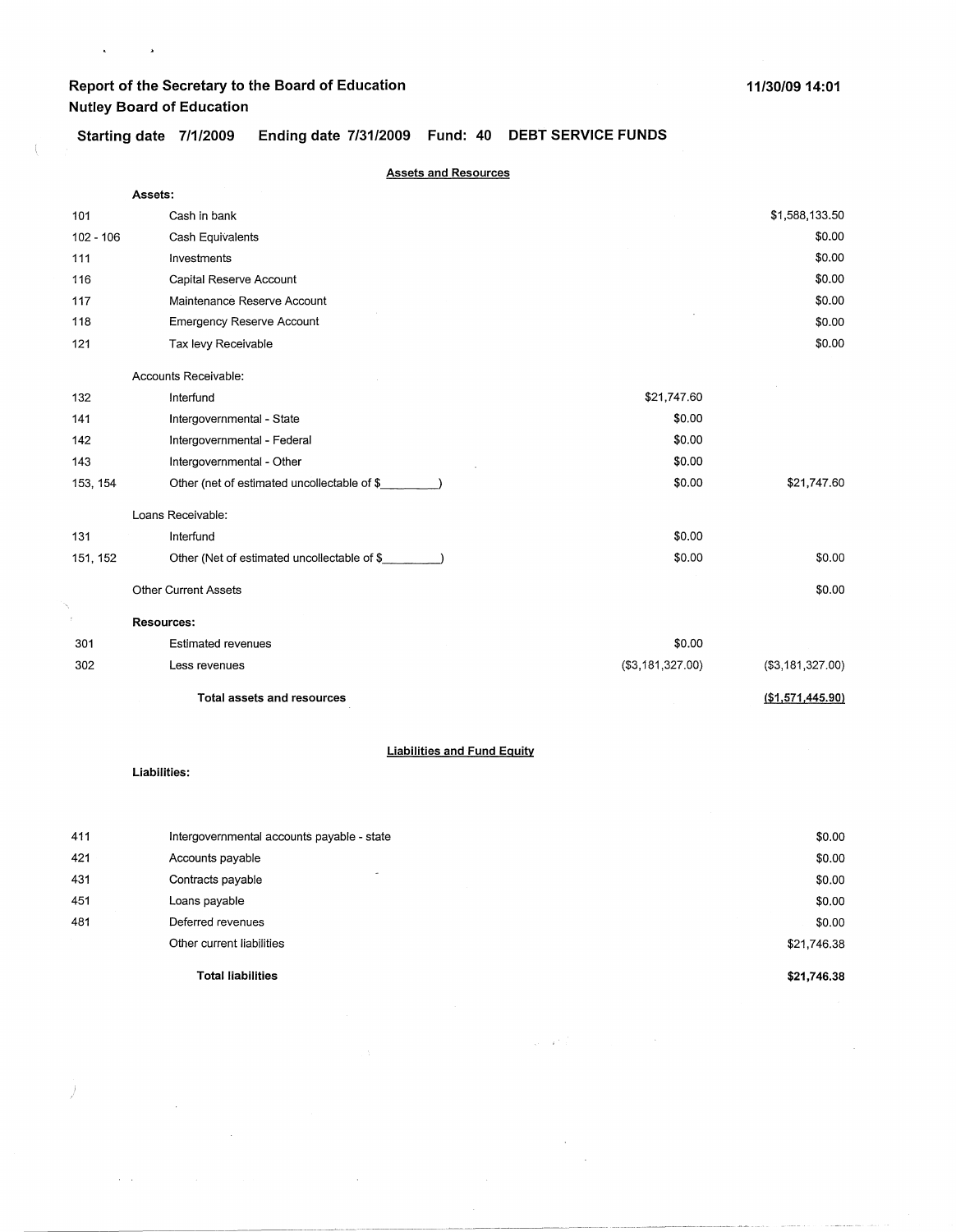$\mathbf{A}^{\text{max}}$  and  $\mathbf{A}^{\text{max}}$ 

 $\overline{1}$ 

 $\hat{\mathcal{L}}$ 

 $\Theta_{\rm{max}}$  and  $\theta_{\rm{max}}$  are  $\theta_{\rm{max}}$ 

 $\sim 10^{11}$  km

 $\bar{\lambda}$ 

**Starting date 7/1/2009 Ending date 7/31/2009 Fund: 40 DEBT SERVICE FUNDS** 

|             | <b>Assets and Resources</b>                 |                   |                  |
|-------------|---------------------------------------------|-------------------|------------------|
|             | Assets:                                     |                   |                  |
| 101         | Cash in bank                                |                   | \$1,588,133.50   |
| $102 - 106$ | Cash Equivalents                            |                   | \$0.00           |
| 111         | Investments                                 |                   | \$0.00           |
| 116         | Capital Reserve Account                     |                   | \$0.00           |
| 117         | Maintenance Reserve Account                 |                   | \$0.00           |
| 118         | <b>Emergency Reserve Account</b>            |                   | \$0.00           |
| 121         | Tax levy Receivable                         |                   | \$0.00           |
|             | Accounts Receivable:                        |                   |                  |
| 132         | Interfund                                   | \$21,747.60       |                  |
| 141         | Intergovernmental - State                   | \$0.00            |                  |
| 142         | Intergovernmental - Federal                 | \$0.00            |                  |
| 143         | Intergovernmental - Other                   | \$0.00            |                  |
| 153, 154    | Other (net of estimated uncollectable of \$ | \$0.00            | \$21,747.60      |
|             | Loans Receivable:                           |                   |                  |
| 131         | Interfund                                   | \$0.00            |                  |
| 151, 152    | Other (Net of estimated uncollectable of \$ | \$0.00            | \$0.00           |
|             | <b>Other Current Assets</b>                 |                   | \$0.00           |
|             | <b>Resources:</b>                           |                   |                  |
| 301         | <b>Estimated revenues</b>                   | \$0.00            |                  |
| 302         | Less revenues                               | ( \$3,181,327.00) | (\$3,181,327.00) |
|             | Total assets and resources                  |                   | (\$1,571,445.90) |
|             | <b>Liabilities and Fund Equity</b>          |                   |                  |
|             | Liabilities:                                |                   |                  |
|             |                                             |                   |                  |
| 411         | Intergovernmental accounts payable - state  |                   | \$0.00           |

|     | <b>Total liabilities</b>                      | \$21,746.38 |
|-----|-----------------------------------------------|-------------|
|     | Other current liabilities                     | \$21,746.38 |
| 481 | Deferred revenues                             | \$0.00      |
| 451 | Loans payable                                 | \$0.00      |
| 431 | $\overline{\phantom{0}}$<br>Contracts payable | \$0.00      |
| 421 | Accounts payable                              | \$0.00      |
|     |                                               |             |

 $\label{eq:2.1} \mathcal{L}_{\mathbf{X}} = \mathcal{L}_{\mathbf{X}} \frac{d}{dt} \left( \mathcal{L}_{\mathbf{X}} \right) = \mathcal{L}_{\mathbf{X}} \left( \mathcal{L}_{\mathbf{X}} \right) = \mathcal{L}_{\mathbf{X}} \left( \mathcal{L}_{\mathbf{X}} \right)$ 

 $\sim 10^{-1}$  $\sim$   $\sim$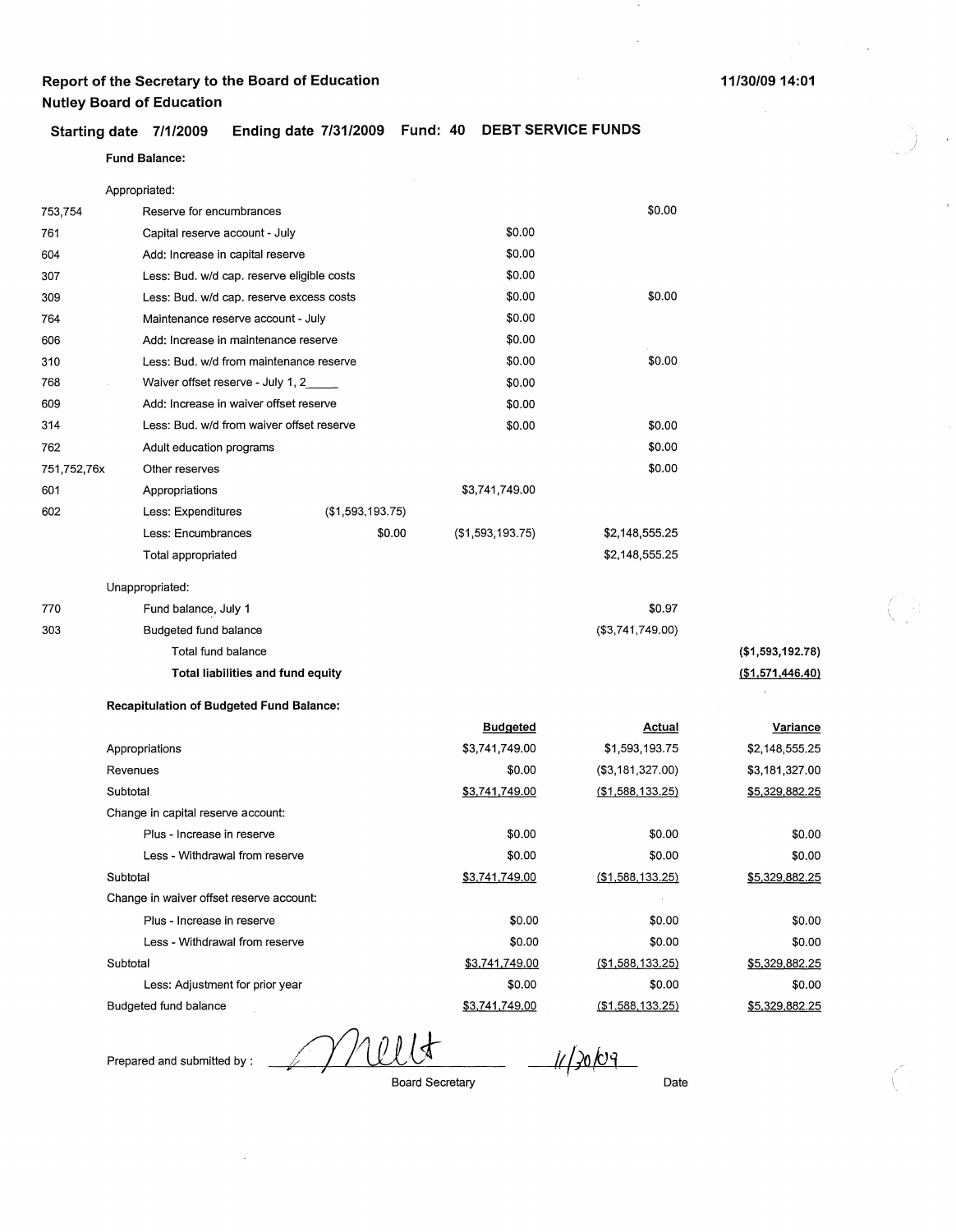#### **Starting date 7/1/2009 Ending date 7/31/2009 Fund: 40 DEBT SERVICE FUNDS**

### **Fund Balance:**

|             | Appropriated:                                   |                  |                       |                     |                   |
|-------------|-------------------------------------------------|------------------|-----------------------|---------------------|-------------------|
| 753,754     | Reserve for encumbrances                        |                  |                       | \$0.00              |                   |
| 761         | Capital reserve account - July                  |                  | \$0.00                |                     |                   |
| 604         | Add: Increase in capital reserve                |                  | \$0.00                |                     |                   |
| 307         | Less: Bud. w/d cap. reserve eligible costs      |                  | \$0.00                |                     |                   |
| 309         | Less: Bud. w/d cap. reserve excess costs        |                  | \$0.00                | \$0.00              |                   |
| 764         | Maintenance reserve account - July              |                  | \$0.00                |                     |                   |
| 606         | Add: Increase in maintenance reserve            |                  | \$0.00                |                     |                   |
| 310         | Less: Bud. w/d from maintenance reserve         |                  | \$0.00                | \$0.00              |                   |
| 768         | Waiver offset reserve - July 1, 2               |                  | \$0.00                |                     |                   |
| 609         | Add: Increase in waiver offset reserve          |                  | \$0.00                |                     |                   |
| 314         | Less: Bud. w/d from waiver offset reserve       |                  | \$0.00                | \$0.00              |                   |
| 762         | Adult education programs                        |                  |                       | \$0.00              |                   |
| 751,752,76x | Other reserves                                  |                  |                       | \$0.00              |                   |
| 601         | Appropriations                                  |                  | \$3,741,749.00        |                     |                   |
| 602         | Less: Expenditures                              | (\$1,593,193.75) |                       |                     |                   |
|             | Less: Encumbrances                              | \$0.00           | ( \$1,593,193.75)     | \$2,148,555.25      |                   |
|             | Total appropriated                              |                  |                       | \$2,148,555.25      |                   |
|             | Unappropriated:                                 |                  |                       |                     |                   |
| 770         | Fund balance, July 1                            |                  |                       | \$0.97              |                   |
| 303         | Budgeted fund balance                           |                  |                       | (\$3,741,749.00)    |                   |
|             | Total fund balance                              |                  |                       |                     | (\$1,593,192.78)  |
|             | Total liabilities and fund equity               |                  |                       |                     | ( \$1,571,446.40) |
|             | <b>Recapitulation of Budgeted Fund Balance:</b> |                  |                       |                     |                   |
|             |                                                 |                  | <b>Budgeted</b>       | <b>Actual</b>       | <b>Variance</b>   |
|             | Appropriations                                  |                  | \$3,741,749.00        | \$1,593,193.75      | \$2,148,555.25    |
|             | Revenues                                        |                  | \$0.00                | (\$3,181,327.00)    | \$3,181,327.00    |
|             | Subtotal                                        |                  | <u>\$3,741,749.00</u> | $($ \$1,588,133.25) | \$5,329,882.25    |
|             | Change in capital reserve account:              |                  |                       |                     |                   |
|             | Plus - Increase in reserve                      |                  | \$0.00                | \$0.00              | \$0.00            |
|             | Less - Withdrawal from reserve                  |                  | \$0.00                | \$0.00              | \$0.00            |
|             | Subtotal                                        |                  | \$3,741,749.00        | ( \$1,588,133.25)   | \$5,329,882.25    |
|             | Change in waiver offset reserve account:        |                  |                       |                     |                   |
|             | Plus - Increase in reserve                      |                  | \$0.00                | \$0.00              | \$0.00            |
|             | Less - Withdrawal from reserve                  |                  | \$0.00                | \$0.00              | \$0.00            |
|             | Subtotal                                        |                  | \$3,741,749.00        | ( \$1,588,133.25)   | \$5,329,882.25    |
|             | Less: Adjustment for prior year                 |                  | \$0.00                | \$0.00              | \$0.00            |

 $\bar{1}$ 

Prepared and submitted by :

Budgeted fund balance

11/20/09

Board Secretary

\$3,741,749.00

Date

\$0.00 \$5,329,882.25

(\$1,588,133.25)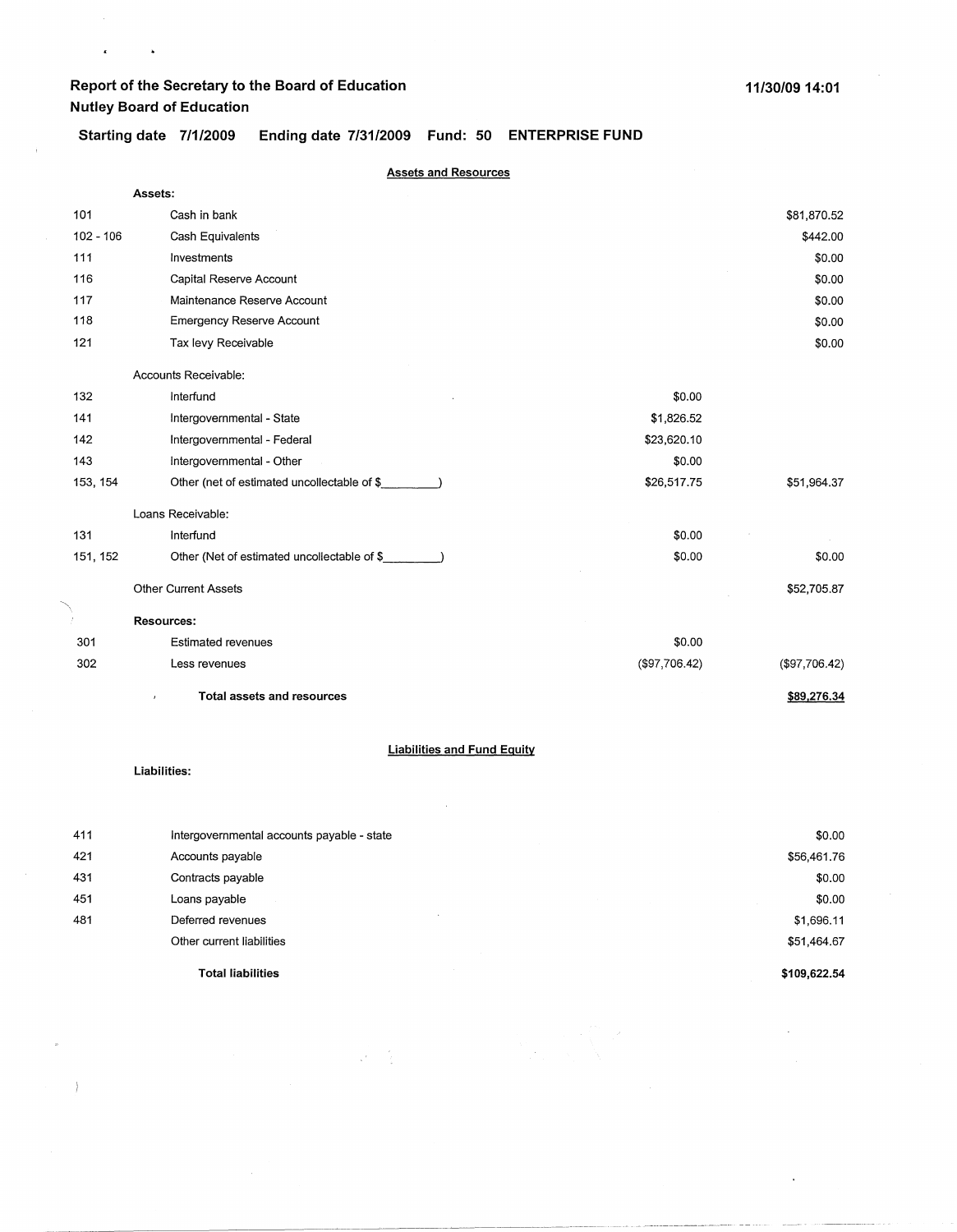$\epsilon$ 

 $\bar{1}$ 

 $\ddot{\phantom{a}}$ 

**Starting date 7/1/2009 Ending date 7/31/2009 Fund: 50 ENTERPRISE FUND** 

|             | <b>Assets and Resources</b>                 |               |               |
|-------------|---------------------------------------------|---------------|---------------|
|             | Assets:                                     |               |               |
| 101         | Cash in bank                                |               | \$81,870.52   |
| $102 - 106$ | Cash Equivalents                            |               | \$442.00      |
| 111         | Investments                                 |               | \$0.00        |
| 116         | Capital Reserve Account                     |               | \$0.00        |
| 117         | Maintenance Reserve Account                 |               | \$0.00        |
| 118         | Emergency Reserve Account                   |               | \$0.00        |
| 121         | Tax levy Receivable                         |               | \$0.00        |
|             | Accounts Receivable:                        |               |               |
| 132         | Interfund                                   | \$0.00        |               |
| 141         | Intergovernmental - State                   | \$1,826.52    |               |
| 142         | Intergovernmental - Federal                 | \$23,620.10   |               |
| 143         | Intergovernmental - Other                   | \$0.00        |               |
| 153, 154    | Other (net of estimated uncollectable of \$ | \$26,517.75   | \$51,964.37   |
|             | Loans Receivable:                           |               |               |
| 131         | Interfund                                   | \$0.00        |               |
| 151, 152    | Other (Net of estimated uncollectable of \$ | \$0.00        | \$0.00        |
|             | <b>Other Current Assets</b>                 |               | \$52,705.87   |
| Ť.          | <b>Resources:</b>                           |               |               |
| 301         | <b>Estimated revenues</b>                   | \$0.00        |               |
| 302         | Less revenues                               | (\$97,706.42) | (\$97,706.42) |
|             | Total assets and resources                  |               | \$89,276.34   |
|             | <b>Liabilities and Fund Equity</b>          |               |               |
|             | Liabilities:                                |               |               |

|     | <b>Total liabilities</b>                   | \$109,622.54 |
|-----|--------------------------------------------|--------------|
|     | Other current liabilities                  | \$51,464.67  |
| 481 | Deferred revenues                          | \$1,696.11   |
| 451 | Loans payable                              | \$0.00       |
| 431 | Contracts payable                          | \$0.00       |
| 421 | Accounts payable                           | \$56,461.76  |
| 411 | Intergovernmental accounts payable - state | \$0.00       |

 $\mathcal{P}=\frac{1}{2}$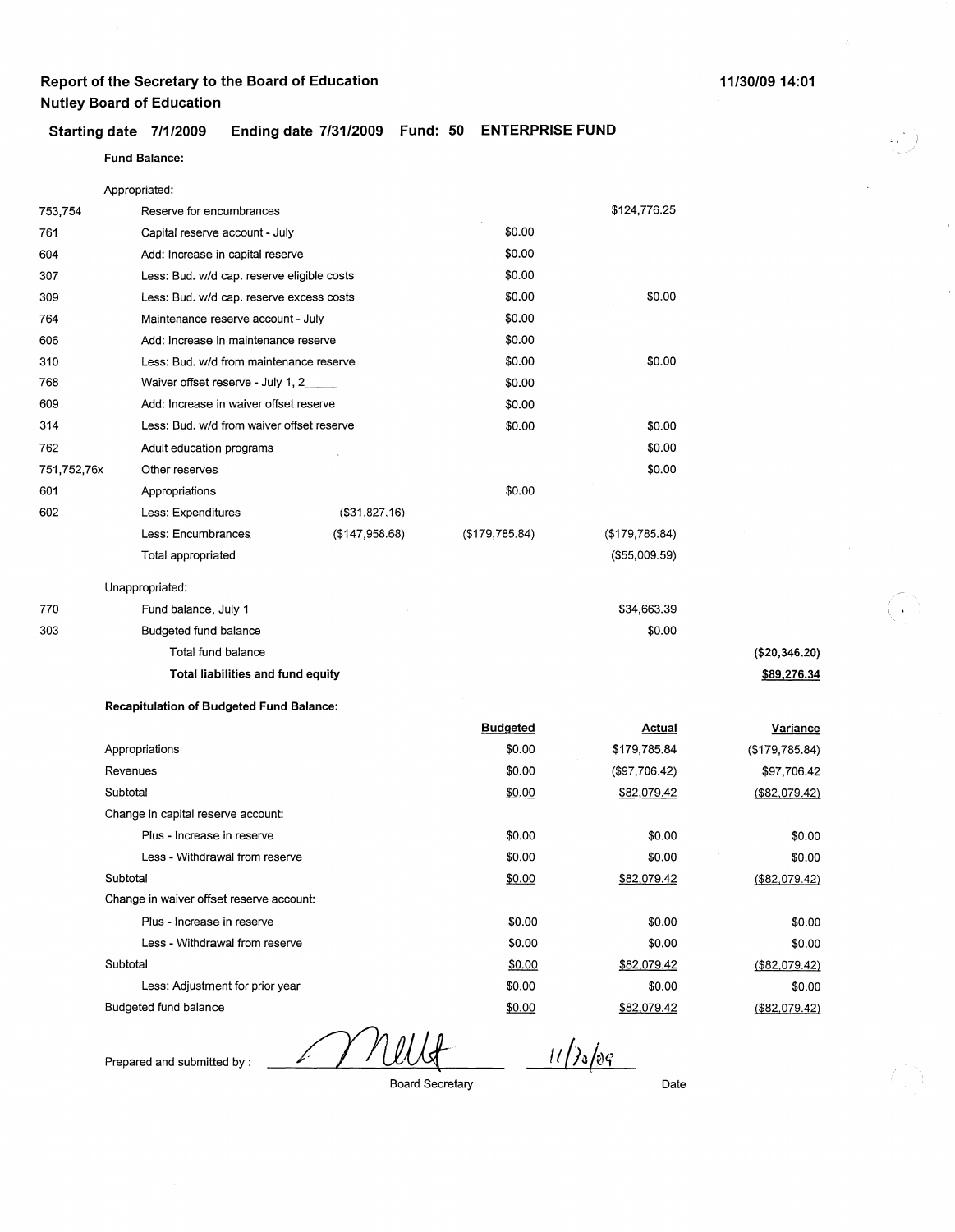### **Starting date 7/1/2009 Ending date 7/31/2009 Fund: 50 ENTERPRISE FUND**

### **Fund Balance:**

|             | Appropriated:                                   |                |                 |                |  |
|-------------|-------------------------------------------------|----------------|-----------------|----------------|--|
| 753,754     | Reserve for encumbrances                        |                |                 | \$124,776.25   |  |
| 761         | Capital reserve account - July                  |                | \$0.00          |                |  |
| 604         | Add: Increase in capital reserve                |                | \$0.00          |                |  |
| 307         | Less: Bud. w/d cap. reserve eligible costs      |                | \$0.00          |                |  |
| 309         | Less: Bud. w/d cap. reserve excess costs        |                | \$0.00          | \$0.00         |  |
| 764         | Maintenance reserve account - July              |                | \$0.00          |                |  |
| 606         | Add: Increase in maintenance reserve            |                | \$0.00          |                |  |
| 310         | Less: Bud. w/d from maintenance reserve         |                | \$0.00          | \$0.00         |  |
| 768         | Waiver offset reserve - July 1, 2               |                | \$0.00          |                |  |
| 609         | Add: Increase in waiver offset reserve          |                | \$0.00          |                |  |
| 314         | Less: Bud. w/d from waiver offset reserve       |                | \$0.00          | \$0.00         |  |
| 762         | Adult education programs                        |                |                 | \$0.00         |  |
| 751,752,76x | Other reserves                                  |                |                 | \$0.00         |  |
| 601         | Appropriations                                  |                | \$0.00          |                |  |
| 602         | Less: Expenditures                              | (\$31,827.16)  |                 |                |  |
|             | Less: Encumbrances                              | (\$147,958.68) | (\$179,785.84)  | (\$179,785.84) |  |
|             | Total appropriated                              |                |                 | (\$55,009.59)  |  |
|             | Unappropriated:                                 |                |                 |                |  |
| 770         | Fund balance, July 1                            |                |                 | \$34,663.39    |  |
| 303         | Budgeted fund balance                           |                |                 | \$0.00         |  |
|             | Total fund balance                              |                |                 |                |  |
|             | Total liabilities and fund equity               |                |                 |                |  |
|             | <b>Recapitulation of Budgeted Fund Balance:</b> |                |                 |                |  |
|             |                                                 |                | <b>Budgeted</b> | <u>Actual</u>  |  |
|             | Appropriations                                  |                | \$0.00          | \$179,785.84   |  |
|             | Revenues                                        |                | \$0.00          | (\$97,706.42)  |  |
|             | Subtotal                                        |                | \$0.00          | \$82,079.42    |  |
|             | Change in capital reserve account:              |                |                 |                |  |
|             | Plus - Increase in reserve                      |                | \$0.00          | \$0.00         |  |
|             | Less - Withdrawal from reserve                  |                | \$0.00          | \$0.00         |  |
|             | Subtotal                                        |                | \$0.00          | \$82,079.42    |  |
|             | Change in waiver offset reserve account:        |                |                 |                |  |

| Subtotal                                 | \$0.00 | \$82,079.42 | (\$82,079.42) |
|------------------------------------------|--------|-------------|---------------|
| Change in waiver offset reserve account: |        |             |               |
| Plus - Increase in reserve               | \$0.00 | \$0.00      | \$0.00        |
| Less - Withdrawal from reserve           | \$0.00 | \$0.00      | \$0.00        |
| Subtotal                                 | \$0.00 | \$82,079.42 | (\$82,079.42) |
| Less: Adjustment for prior year          | \$0.00 | \$0.00      | \$0.00        |
| Budgeted fund balance                    | \$0.00 | \$82,079.42 | (\$82,079.42) |

Prepared and submitted by :

Board Secretary

 $\frac{11}{206}$ 

Date

**(\$20,346.20} \$89,276.34**   $\bigodot$ '

**Variance**  (\$179,785.84) \$97,706.42 (\$82,079.42)

> \$0.00 \$0.00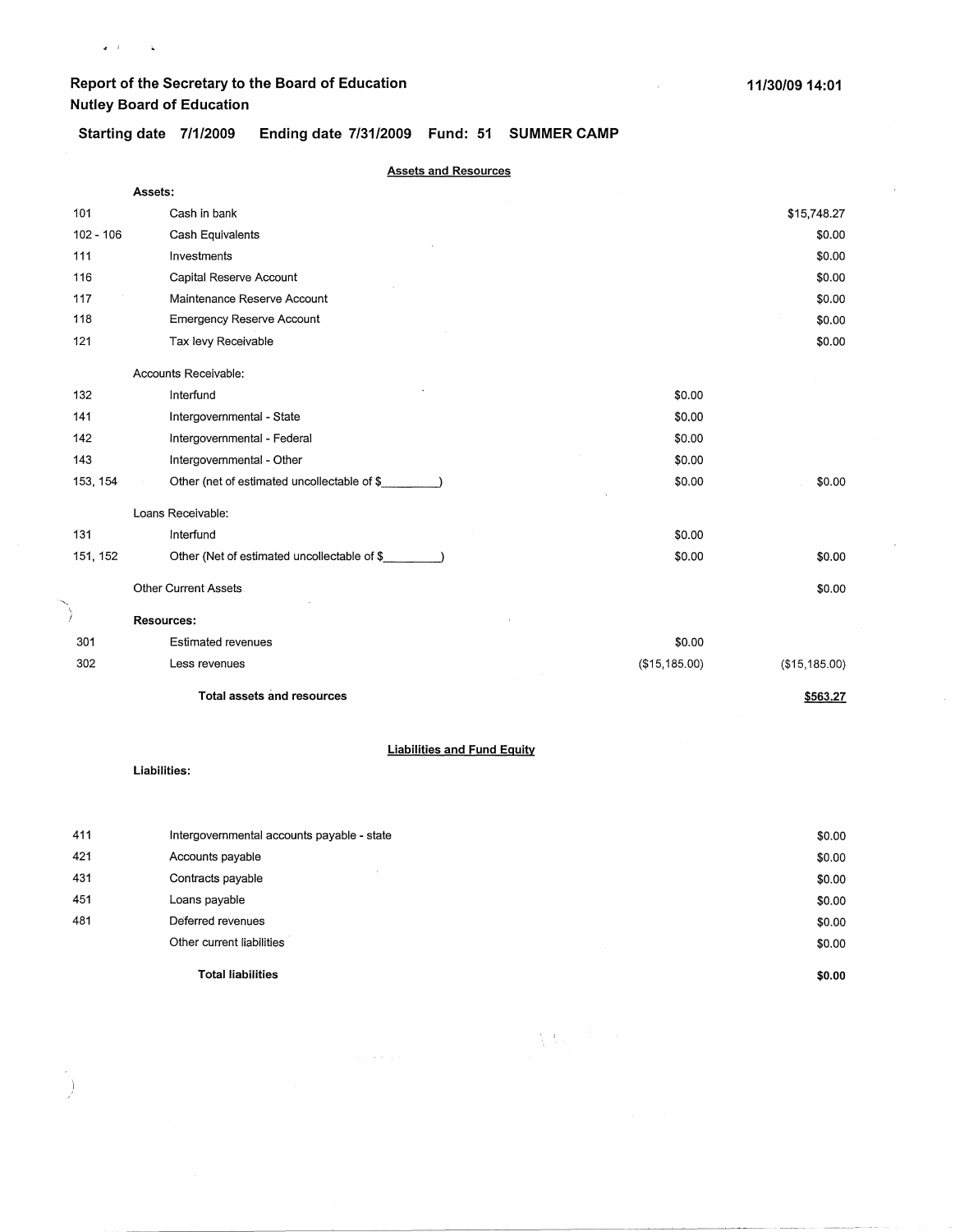• *i* 

)

**Starting date 7/1/2009 Ending date 7/31/2009 Fund: 51 SUMMER CAMP** 

|             | <b>Assets and Resources</b>                        |               |               |
|-------------|----------------------------------------------------|---------------|---------------|
|             | Assets:                                            |               |               |
| 101         | Cash in bank                                       |               | \$15,748.27   |
| $102 - 106$ | Cash Equivalents                                   |               | \$0.00        |
| 111         | Investments                                        |               | \$0.00        |
| 116         | Capital Reserve Account                            |               | \$0.00        |
| 117         | Maintenance Reserve Account                        |               | \$0.00        |
| 118         | <b>Emergency Reserve Account</b>                   |               | \$0.00        |
| 121         | Tax levy Receivable                                |               | \$0.00        |
|             | Accounts Receivable:                               |               |               |
| 132         | Interfund                                          | \$0.00        |               |
| 141         | Intergovernmental - State                          | \$0.00        |               |
| 142         | Intergovernmental - Federal                        | \$0.00        |               |
| 143         | Intergovernmental - Other                          | \$0.00        |               |
| 153, 154    | Other (net of estimated uncollectable of \$        | \$0.00        | \$0.00        |
|             | Loans Receivable:                                  |               |               |
| 131         | Interfund                                          | \$0.00        |               |
| 151, 152    | Other (Net of estimated uncollectable of \$        | \$0.00        | \$0.00        |
|             | Other Current Assets.                              |               | \$0.00        |
| Ť           | Resources:                                         |               |               |
| 301         | <b>Estimated revenues</b>                          | \$0.00        |               |
| 302         | Less revenues                                      | (\$15,185.00) | (\$15,185.00) |
|             | <b>Total assets and resources</b>                  |               | \$563.27      |
|             | <b>Liabilities and Fund Equity</b><br>Liabilities: |               |               |
|             |                                                    |               |               |

|     | <b>Total liabilities</b>                   | \$0.00 |
|-----|--------------------------------------------|--------|
|     | Other current liabilities                  | \$0.00 |
| 481 | Deferred revenues                          | \$0.00 |
| 451 | Loans payable                              | \$0.00 |
| 431 | Contracts payable                          | \$0.00 |
| 421 | Accounts payable                           | \$0.00 |
| 411 | Intergovernmental accounts payable - state | \$0.00 |

 $\sum_{i=1}^n\sum_{j=1}^n\sum_{j=1}^n\sum_{j=1}^n\sum_{j=1}^n\sum_{j=1}^n\sum_{j=1}^n\sum_{j=1}^n\sum_{j=1}^n\sum_{j=1}^n\sum_{j=1}^n\sum_{j=1}^n\sum_{j=1}^n\sum_{j=1}^n\sum_{j=1}^n\sum_{j=1}^n\sum_{j=1}^n\sum_{j=1}^n\sum_{j=1}^n\sum_{j=1}^n\sum_{j=1}^n\sum_{j=1}^n\sum_{j=1}^n\sum_{j=1}^n\sum_{j$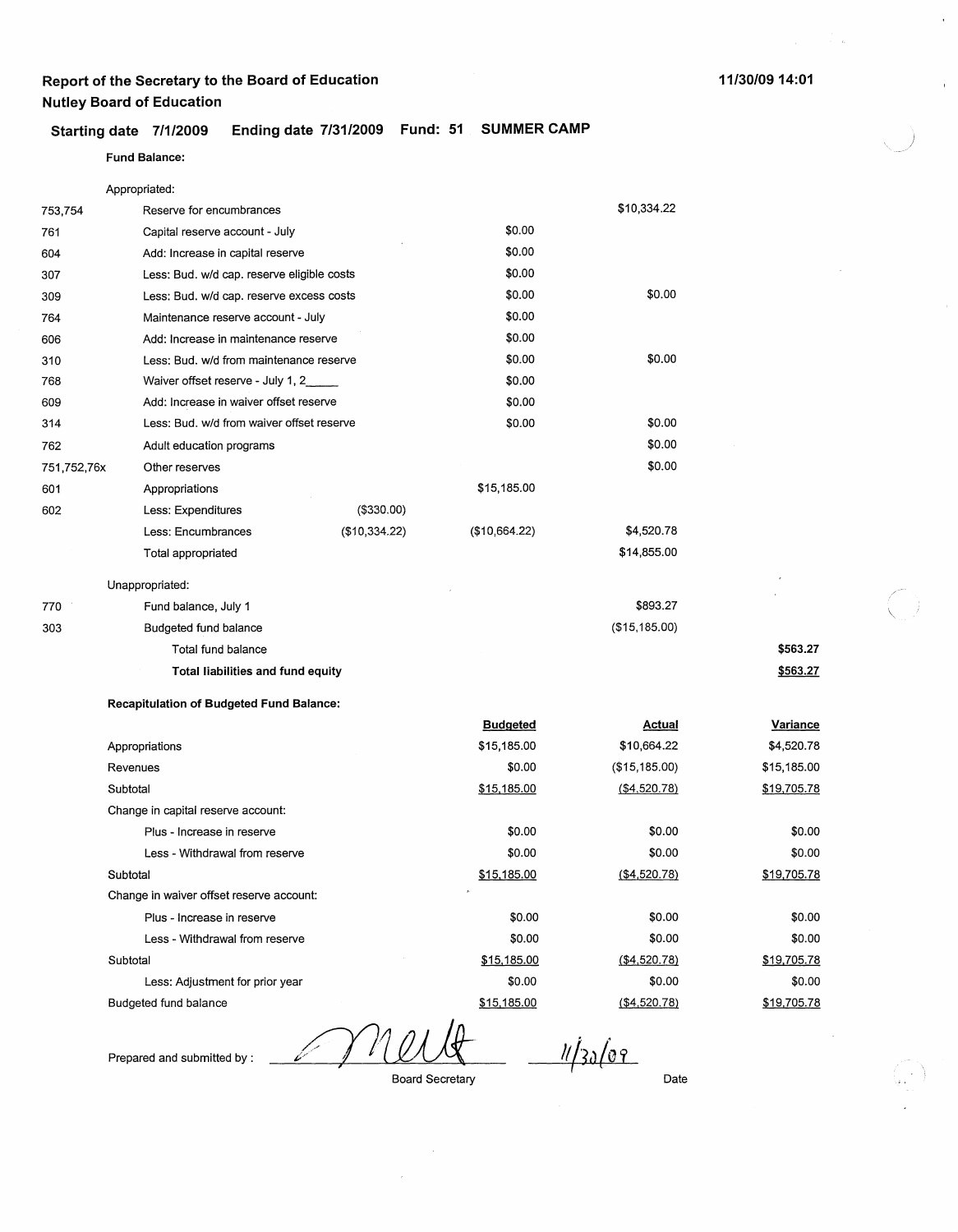### **11/30/09 14:01**

 $\bar{z}$ 

)

 $\bar{\alpha}$ 

### **Starting date 7/1/2009 Ending date 7/31/2009 Fund: 51 SUMMER CAMP**

### **Fund Balance:**

|             | Appropriated:                                   |               |                 |               |             |
|-------------|-------------------------------------------------|---------------|-----------------|---------------|-------------|
| 753,754     | Reserve for encumbrances                        |               |                 | \$10,334.22   |             |
| 761         | Capital reserve account - July                  |               | \$0.00          |               |             |
| 604         | Add: Increase in capital reserve                |               | \$0.00          |               |             |
| 307         | Less: Bud. w/d cap. reserve eligible costs      |               | \$0.00          |               |             |
| 309         | Less: Bud. w/d cap. reserve excess costs        |               | \$0.00          | \$0.00        |             |
| 764         | Maintenance reserve account - July              |               | \$0.00          |               |             |
| 606         | Add: Increase in maintenance reserve            |               | \$0.00          |               |             |
| 310         | Less: Bud. w/d from maintenance reserve         |               | \$0.00          | \$0.00        |             |
| 768         | Waiver offset reserve - July 1, 2               |               | \$0.00          |               |             |
| 609         | Add: Increase in waiver offset reserve          |               | \$0.00          |               |             |
| 314         | Less: Bud. w/d from waiver offset reserve       |               | \$0.00          | \$0.00        |             |
| 762         | Adult education programs                        |               |                 | \$0.00        |             |
| 751,752,76x | Other reserves                                  |               |                 | \$0.00        |             |
| 601         | Appropriations                                  |               | \$15,185.00     |               |             |
| 602         | Less: Expenditures                              | (\$330.00)    |                 |               |             |
|             | Less: Encumbrances                              | (\$10,334.22) | (\$10,664.22)   | \$4,520.78    |             |
|             | Total appropriated                              |               |                 | \$14,855.00   |             |
|             | Unappropriated:                                 |               |                 |               |             |
| 770         | Fund balance, July 1                            |               |                 | \$893.27      |             |
| 303         | Budgeted fund balance                           |               |                 | (\$15,185.00) |             |
|             | Total fund balance                              |               |                 |               | \$563.27    |
|             | Total liabilities and fund equity               |               |                 |               | \$563.27    |
|             | <b>Recapitulation of Budgeted Fund Balance:</b> |               |                 |               |             |
|             |                                                 |               | <b>Budgeted</b> | <u>Actual</u> | Variance    |
|             | Appropriations                                  |               | \$15,185.00     | \$10,664.22   | \$4,520.78  |
|             | Revenues                                        |               | \$0.00          | (\$15,185.00) | \$15,185.00 |
|             | Subtotal                                        |               | \$15,185.00     | ( \$4,520.78) | \$19,705.78 |
|             | Change in capital reserve account:              |               |                 |               |             |
|             | Plus - Increase in reserve                      |               | \$0.00          | \$0.00        | \$0.00      |
|             | Less - Withdrawal from reserve                  |               | \$0.00          | \$0.00        | \$0.00      |
|             | Subtotal                                        |               | \$15,185.00     | (\$4,520.78)  | \$19,705.78 |
|             | Change in waiver offset reserve account:        |               |                 |               |             |
|             | Plus - Increase in reserve                      |               | \$0.00          | \$0.00        | \$0.00      |
|             | Less - Withdrawal from reserve                  |               | \$0.00          | \$0.00        | \$0.00      |
|             | Subtotal                                        |               | \$15,185.00     | (\$4,520.78)  | \$19,705.78 |
|             | Less: Adjustment for prior year                 |               | \$0.00          | \$0.00        | \$0.00      |
|             | Budgeted fund balance                           |               | \$15,185.00     | ( \$4,520.78) | \$19,705.78 |

Prepared and submitted by :

Board Secretary

Date

 $11/3009$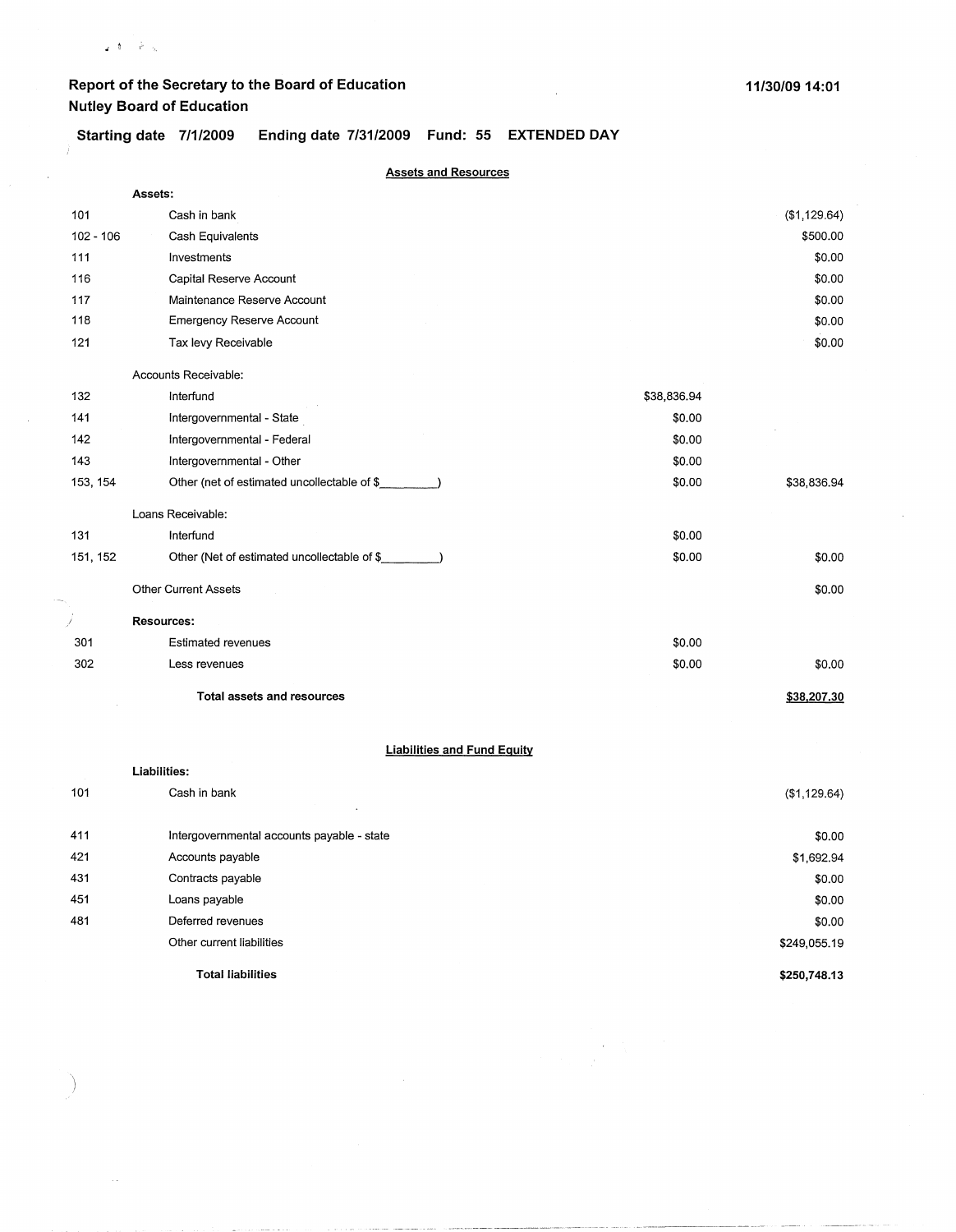$\varphi: \mathfrak{h} \longrightarrow \mathbb{R}^d$  is

 $\mathbf{r}$ 

**Starting date 7/1/2009 Ending date 7/31/2009 Fund: 55 EXTENDED DAY** 

|             | <b>Assets and Resources</b>                                                               |             |              |  |  |  |
|-------------|-------------------------------------------------------------------------------------------|-------------|--------------|--|--|--|
|             | Assets:                                                                                   |             |              |  |  |  |
| 101         | Cash in bank                                                                              |             | (\$1,129.64) |  |  |  |
| $102 - 106$ | Cash Equivalents                                                                          |             | \$500.00     |  |  |  |
| 111         | Investments                                                                               |             | \$0.00       |  |  |  |
| 116         | Capital Reserve Account                                                                   |             | \$0.00       |  |  |  |
| 117         | Maintenance Reserve Account                                                               |             | \$0.00       |  |  |  |
| 118         | <b>Emergency Reserve Account</b>                                                          |             | \$0.00       |  |  |  |
| 121         | Tax levy Receivable                                                                       |             | \$0.00       |  |  |  |
|             | Accounts Receivable:                                                                      |             |              |  |  |  |
| 132         | Interfund                                                                                 | \$38,836.94 |              |  |  |  |
| 141         | Intergovernmental - State                                                                 | \$0.00      |              |  |  |  |
| 142         | Intergovernmental - Federal                                                               | \$0.00      |              |  |  |  |
| 143         | Intergovernmental - Other                                                                 | \$0.00      |              |  |  |  |
| 153, 154    | Other (net of estimated uncollectable of \$                                               | \$0.00      | \$38,836.94  |  |  |  |
|             | Loans Receivable:                                                                         |             |              |  |  |  |
| 131         | Interfund                                                                                 | \$0.00      |              |  |  |  |
| 151, 152    | Other (Net of estimated uncollectable of \$_<br>$\sim$ $\sim$ $\sim$ $\sim$ $\sim$ $\sim$ | \$0.00      | \$0.00       |  |  |  |
|             | Other Current Assets                                                                      |             | \$0.00       |  |  |  |
| İ           | Resources:                                                                                |             |              |  |  |  |
| 301         | <b>Estimated revenues</b>                                                                 | \$0.00      |              |  |  |  |
| 302         | Less revenues                                                                             | \$0.00      | \$0.00       |  |  |  |
|             | <b>Total assets and resources</b>                                                         |             | \$38,207.30  |  |  |  |
|             | <b>Liabilities and Fund Equity</b>                                                        |             |              |  |  |  |
|             | Liabilities:                                                                              |             |              |  |  |  |
| 101         | Cash in bank                                                                              |             | (\$1,129.64) |  |  |  |
|             |                                                                                           |             |              |  |  |  |

|     | <b>Total liabilities</b>                   | \$250,748.13 |
|-----|--------------------------------------------|--------------|
|     | Other current liabilities                  | \$249,055.19 |
| 481 | Deferred revenues                          | \$0.00       |
| 451 | Loans payable                              | \$0.00       |
| 431 | Contracts payable                          | \$0.00       |
| 421 | Accounts payable                           | \$1,692.94   |
| 411 | Intergovernmental accounts payable - state | \$0.00       |